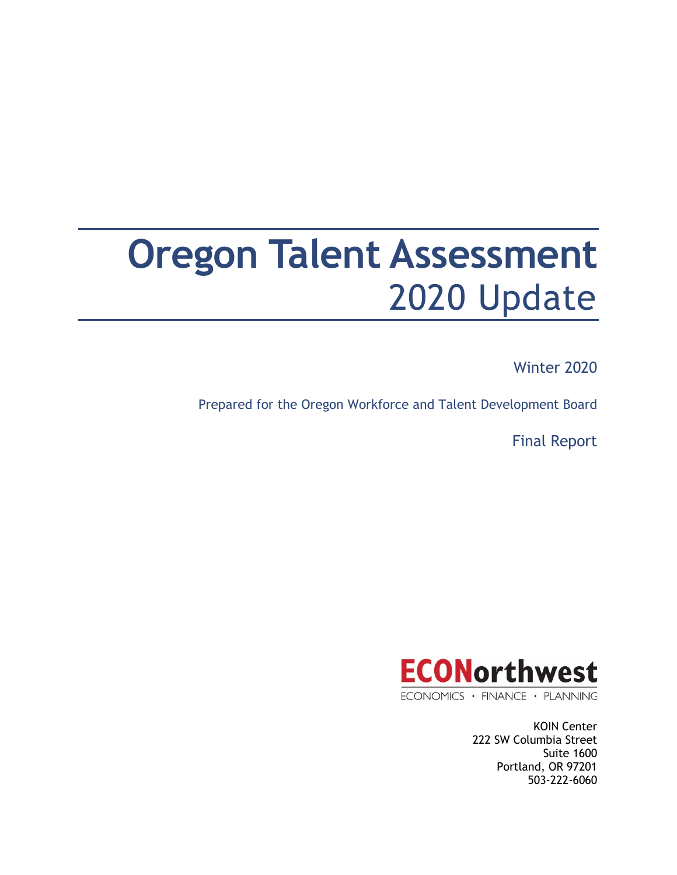# **Oregon Talent Assessment** 2020 Update

Winter 2020

Prepared for the Oregon Workforce and Talent Development Board

Final Report



ECONOMICS · FINANCE · PLANNING

KOIN Center 222 SW Columbia Street Suite 1600 Portland, OR 97201 503-222-6060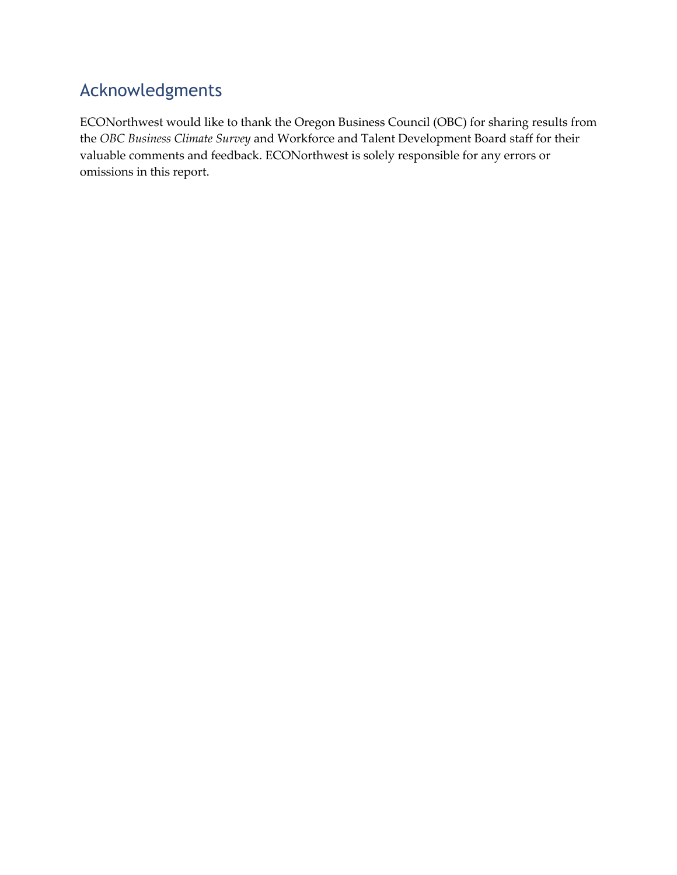#### Acknowledgments

ECONorthwest would like to thank the Oregon Business Council (OBC) for sharing results from the *OBC Business Climate Survey* and Workforce and Talent Development Board staff for their valuable comments and feedback. ECONorthwest is solely responsible for any errors or omissions in this report.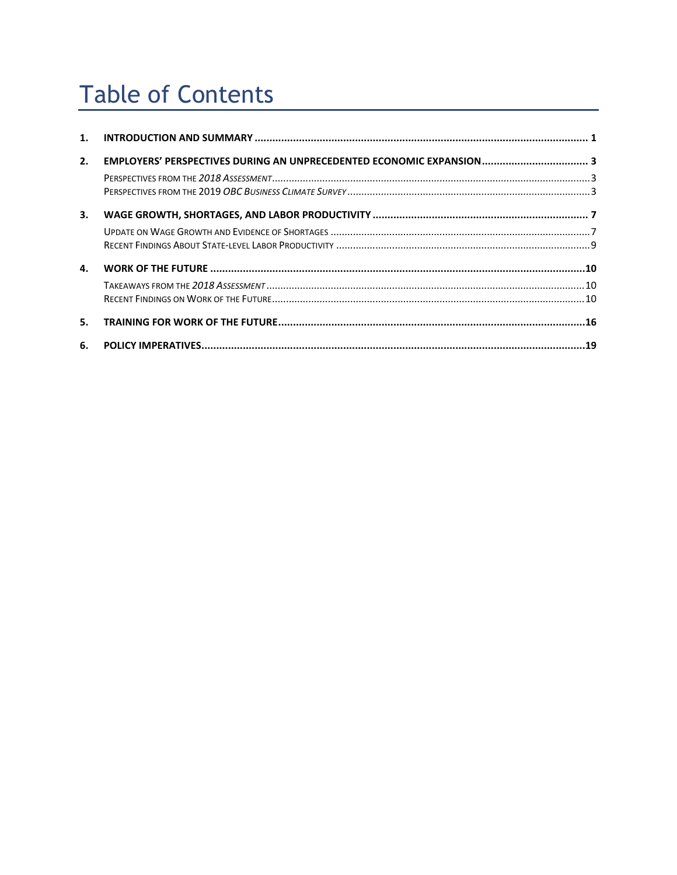# **Table of Contents**

| 2. | EMPLOYERS' PERSPECTIVES DURING AN UNPRECEDENTED ECONOMIC EXPANSION 3 |  |
|----|----------------------------------------------------------------------|--|
|    |                                                                      |  |
|    |                                                                      |  |
| 3. |                                                                      |  |
|    |                                                                      |  |
|    |                                                                      |  |
| 4. |                                                                      |  |
|    |                                                                      |  |
|    |                                                                      |  |
| 5. |                                                                      |  |
| 6. |                                                                      |  |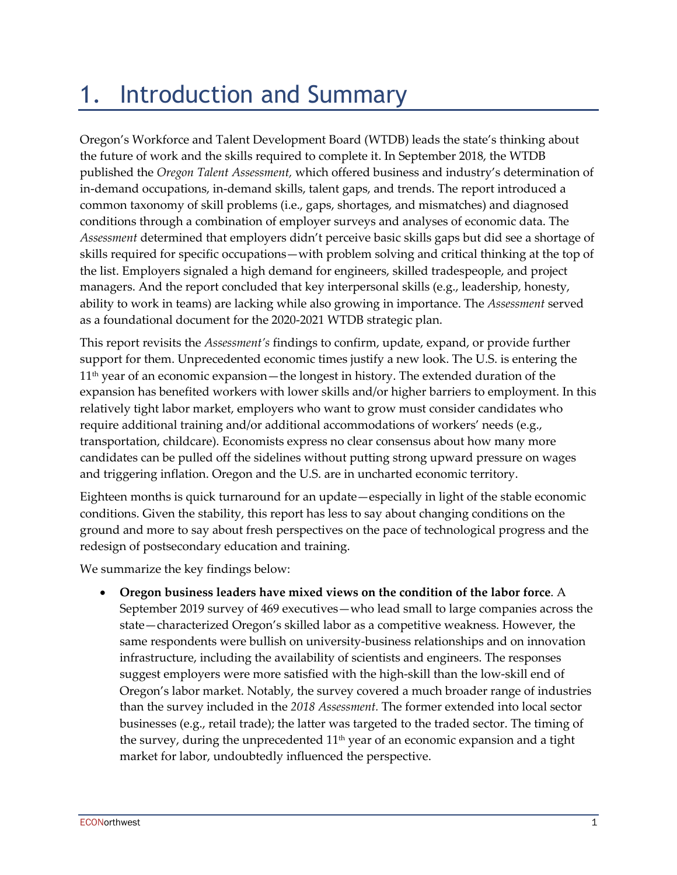# 1. Introduction and Summary

Oregon's Workforce and Talent Development Board (WTDB) leads the state's thinking about the future of work and the skills required to complete it. In September 2018, the WTDB published the *Oregon Talent Assessment,* which offered business and industry's determination of in-demand occupations, in-demand skills, talent gaps, and trends. The report introduced a common taxonomy of skill problems (i.e., gaps, shortages, and mismatches) and diagnosed conditions through a combination of employer surveys and analyses of economic data. The *Assessment* determined that employers didn't perceive basic skills gaps but did see a shortage of skills required for specific occupations—with problem solving and critical thinking at the top of the list. Employers signaled a high demand for engineers, skilled tradespeople, and project managers. And the report concluded that key interpersonal skills (e.g., leadership, honesty, ability to work in teams) are lacking while also growing in importance. The *Assessment* served as a foundational document for the 2020-2021 WTDB strategic plan.

This report revisits the *Assessment's* findings to confirm, update, expand, or provide further support for them. Unprecedented economic times justify a new look. The U.S. is entering the 11<sup>th</sup> year of an economic expansion—the longest in history. The extended duration of the expansion has benefited workers with lower skills and/or higher barriers to employment. In this relatively tight labor market, employers who want to grow must consider candidates who require additional training and/or additional accommodations of workers' needs (e.g., transportation, childcare). Economists express no clear consensus about how many more candidates can be pulled off the sidelines without putting strong upward pressure on wages and triggering inflation. Oregon and the U.S. are in uncharted economic territory.

Eighteen months is quick turnaround for an update—especially in light of the stable economic conditions. Given the stability, this report has less to say about changing conditions on the ground and more to say about fresh perspectives on the pace of technological progress and the redesign of postsecondary education and training.

We summarize the key findings below:

• **Oregon business leaders have mixed views on the condition of the labor force**. A September 2019 survey of 469 executives—who lead small to large companies across the state—characterized Oregon's skilled labor as a competitive weakness. However, the same respondents were bullish on university-business relationships and on innovation infrastructure, including the availability of scientists and engineers. The responses suggest employers were more satisfied with the high-skill than the low-skill end of Oregon's labor market. Notably, the survey covered a much broader range of industries than the survey included in the *2018 Assessment.* The former extended into local sector businesses (e.g., retail trade); the latter was targeted to the traded sector. The timing of the survey, during the unprecedented  $11<sup>th</sup>$  year of an economic expansion and a tight market for labor, undoubtedly influenced the perspective.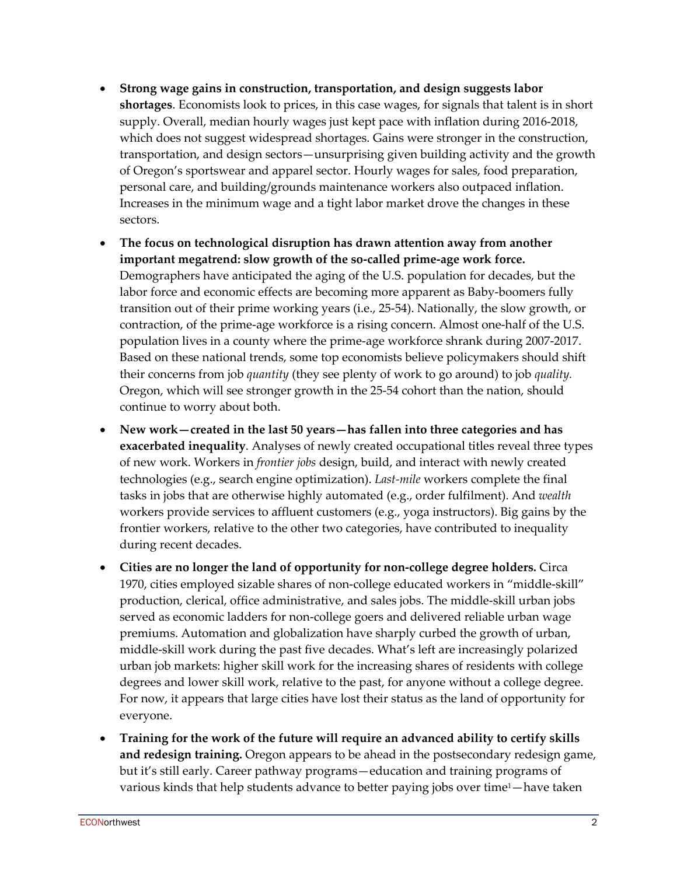- **Strong wage gains in construction, transportation, and design suggests labor shortages**. Economists look to prices, in this case wages, for signals that talent is in short supply. Overall, median hourly wages just kept pace with inflation during 2016-2018, which does not suggest widespread shortages. Gains were stronger in the construction, transportation, and design sectors—unsurprising given building activity and the growth of Oregon's sportswear and apparel sector. Hourly wages for sales, food preparation, personal care, and building/grounds maintenance workers also outpaced inflation. Increases in the minimum wage and a tight labor market drove the changes in these sectors.
- **The focus on technological disruption has drawn attention away from another important megatrend: slow growth of the so-called prime-age work force.**  Demographers have anticipated the aging of the U.S. population for decades, but the labor force and economic effects are becoming more apparent as Baby-boomers fully transition out of their prime working years (i.e., 25-54). Nationally, the slow growth, or contraction, of the prime-age workforce is a rising concern. Almost one-half of the U.S. population lives in a county where the prime-age workforce shrank during 2007-2017. Based on these national trends, some top economists believe policymakers should shift their concerns from job *quantity* (they see plenty of work to go around) to job *quality.* Oregon, which will see stronger growth in the 25-54 cohort than the nation, should continue to worry about both.
- **New work—created in the last 50 years—has fallen into three categories and has exacerbated inequality**. Analyses of newly created occupational titles reveal three types of new work. Workers in *frontier jobs* design, build, and interact with newly created technologies (e.g., search engine optimization). *Last-mile* workers complete the final tasks in jobs that are otherwise highly automated (e.g., order fulfilment). And *wealth*  workers provide services to affluent customers (e.g., yoga instructors). Big gains by the frontier workers, relative to the other two categories, have contributed to inequality during recent decades.
- **Cities are no longer the land of opportunity for non-college degree holders.** Circa 1970, cities employed sizable shares of non-college educated workers in "middle-skill" production, clerical, office administrative, and sales jobs. The middle-skill urban jobs served as economic ladders for non-college goers and delivered reliable urban wage premiums. Automation and globalization have sharply curbed the growth of urban, middle-skill work during the past five decades. What's left are increasingly polarized urban job markets: higher skill work for the increasing shares of residents with college degrees and lower skill work, relative to the past, for anyone without a college degree. For now, it appears that large cities have lost their status as the land of opportunity for everyone.
- **Training for the work of the future will require an advanced ability to certify skills and redesign training.** Oregon appears to be ahead in the postsecondary redesign game, but it's still early. Career pathway programs—education and training programs of various kinds that help students advance to better paying jobs over time<sup>1</sup>—have taken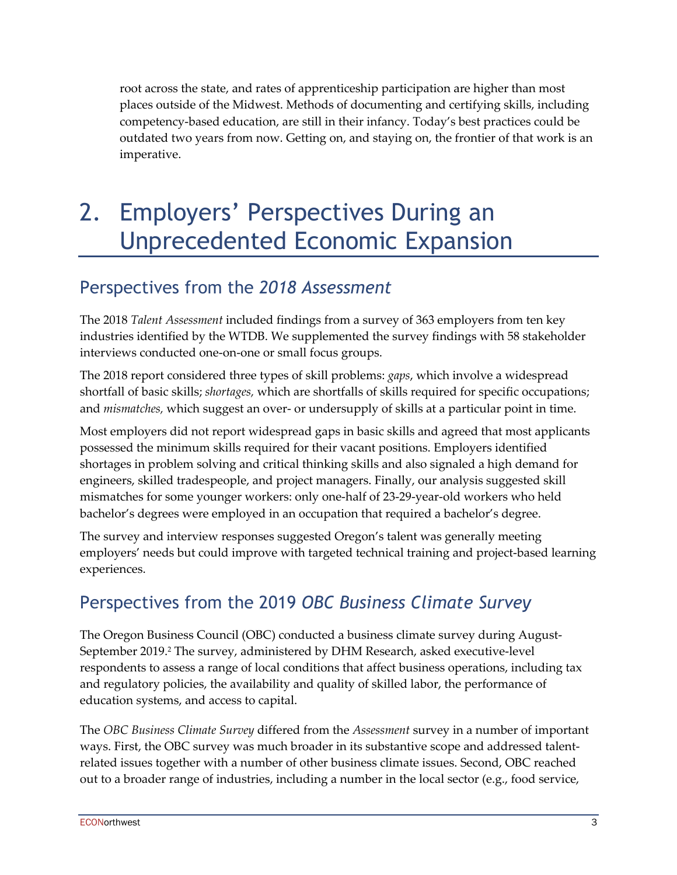root across the state, and rates of apprenticeship participation are higher than most places outside of the Midwest. Methods of documenting and certifying skills, including competency-based education, are still in their infancy. Today's best practices could be outdated two years from now. Getting on, and staying on, the frontier of that work is an imperative.

# 2. Employers' Perspectives During an Unprecedented Economic Expansion

#### Perspectives from the *2018 Assessment*

The 2018 *Talent Assessment* included findings from a survey of 363 employers from ten key industries identified by the WTDB. We supplemented the survey findings with 58 stakeholder interviews conducted one-on-one or small focus groups.

The 2018 report considered three types of skill problems: *gaps*, which involve a widespread shortfall of basic skills; *shortages,* which are shortfalls of skills required for specific occupations; and *mismatches,* which suggest an over- or undersupply of skills at a particular point in time.

Most employers did not report widespread gaps in basic skills and agreed that most applicants possessed the minimum skills required for their vacant positions. Employers identified shortages in problem solving and critical thinking skills and also signaled a high demand for engineers, skilled tradespeople, and project managers. Finally, our analysis suggested skill mismatches for some younger workers: only one-half of 23-29-year-old workers who held bachelor's degrees were employed in an occupation that required a bachelor's degree.

The survey and interview responses suggested Oregon's talent was generally meeting employers' needs but could improve with targeted technical training and project-based learning experiences.

#### Perspectives from the 2019 *OBC Business Climate Survey*

The Oregon Business Council (OBC) conducted a business climate survey during August-September 2019. <sup>2</sup> The survey, administered by DHM Research, asked executive-level respondents to assess a range of local conditions that affect business operations, including tax and regulatory policies, the availability and quality of skilled labor, the performance of education systems, and access to capital.

The *OBC Business Climate Survey* differed from the *Assessment* survey in a number of important ways. First, the OBC survey was much broader in its substantive scope and addressed talentrelated issues together with a number of other business climate issues. Second, OBC reached out to a broader range of industries, including a number in the local sector (e.g., food service,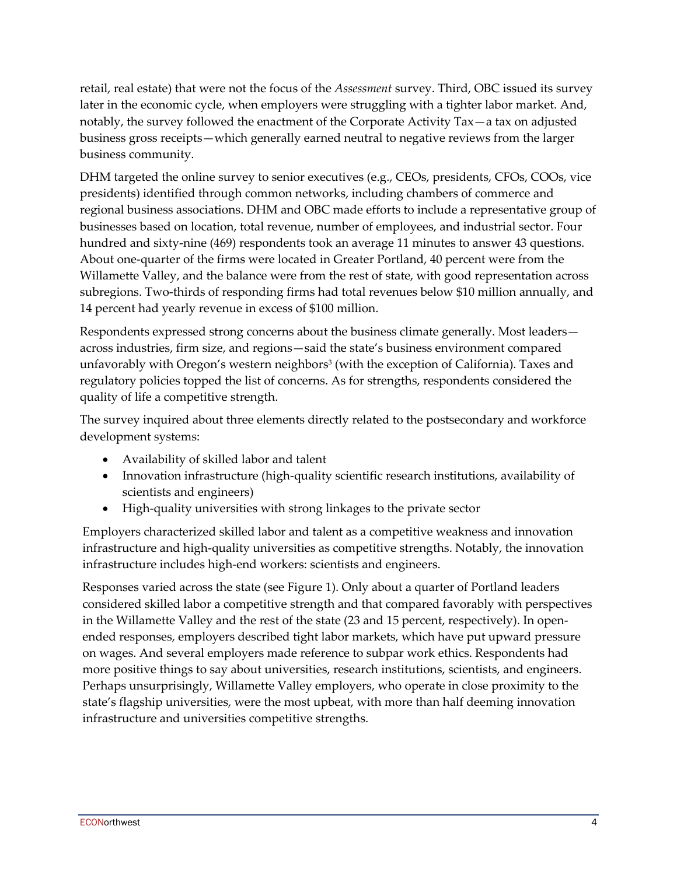retail, real estate) that were not the focus of the *Assessment* survey. Third, OBC issued its survey later in the economic cycle, when employers were struggling with a tighter labor market. And, notably, the survey followed the enactment of the Corporate Activity Tax—a tax on adjusted business gross receipts—which generally earned neutral to negative reviews from the larger business community.

DHM targeted the online survey to senior executives (e.g., CEOs, presidents, CFOs, COOs, vice presidents) identified through common networks, including chambers of commerce and regional business associations. DHM and OBC made efforts to include a representative group of businesses based on location, total revenue, number of employees, and industrial sector. Four hundred and sixty-nine (469) respondents took an average 11 minutes to answer 43 questions. About one-quarter of the firms were located in Greater Portland, 40 percent were from the Willamette Valley, and the balance were from the rest of state, with good representation across subregions. Two-thirds of responding firms had total revenues below \$10 million annually, and 14 percent had yearly revenue in excess of \$100 million.

Respondents expressed strong concerns about the business climate generally. Most leaders across industries, firm size, and regions—said the state's business environment compared unfavorably with Oregon's western neighbors<sup>3</sup> (with the exception of California). Taxes and regulatory policies topped the list of concerns. As for strengths, respondents considered the quality of life a competitive strength.

The survey inquired about three elements directly related to the postsecondary and workforce development systems:

- Availability of skilled labor and talent
- Innovation infrastructure (high-quality scientific research institutions, availability of scientists and engineers)
- High-quality universities with strong linkages to the private sector

Employers characterized skilled labor and talent as a competitive weakness and innovation infrastructure and high-quality universities as competitive strengths. Notably, the innovation infrastructure includes high-end workers: scientists and engineers.

Responses varied across the state (see Figure 1). Only about a quarter of Portland leaders considered skilled labor a competitive strength and that compared favorably with perspectives in the Willamette Valley and the rest of the state (23 and 15 percent, respectively). In openended responses, employers described tight labor markets, which have put upward pressure on wages. And several employers made reference to subpar work ethics. Respondents had more positive things to say about universities, research institutions, scientists, and engineers. Perhaps unsurprisingly, Willamette Valley employers, who operate in close proximity to the state's flagship universities, were the most upbeat, with more than half deeming innovation infrastructure and universities competitive strengths.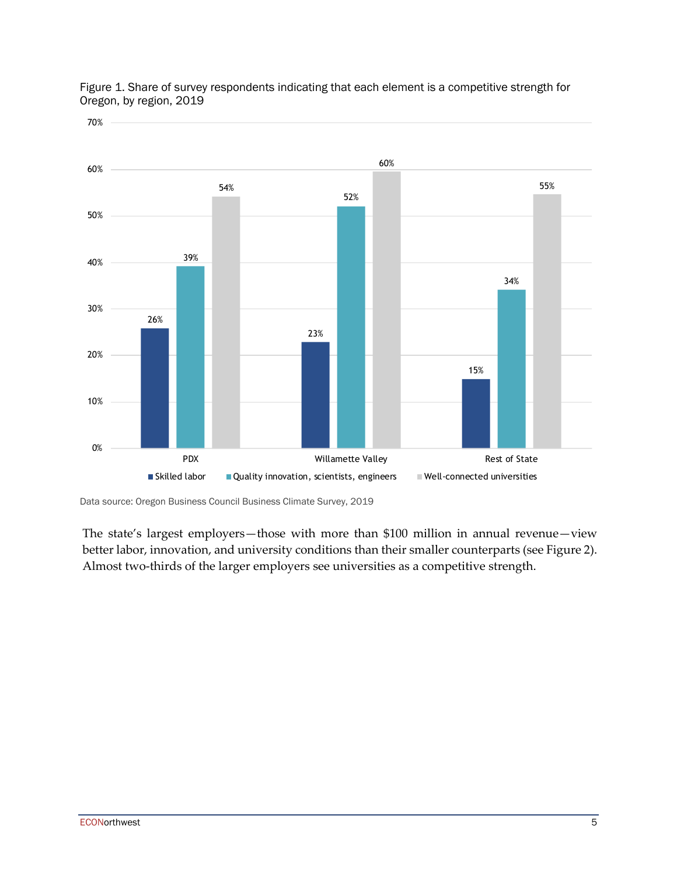

Figure 1. Share of survey respondents indicating that each element is a competitive strength for Oregon, by region, 2019

Data source: Oregon Business Council Business Climate Survey, 2019

The state's largest employers—those with more than \$100 million in annual revenue—view better labor, innovation, and university conditions than their smaller counterparts (see Figure 2). Almost two-thirds of the larger employers see universities as a competitive strength.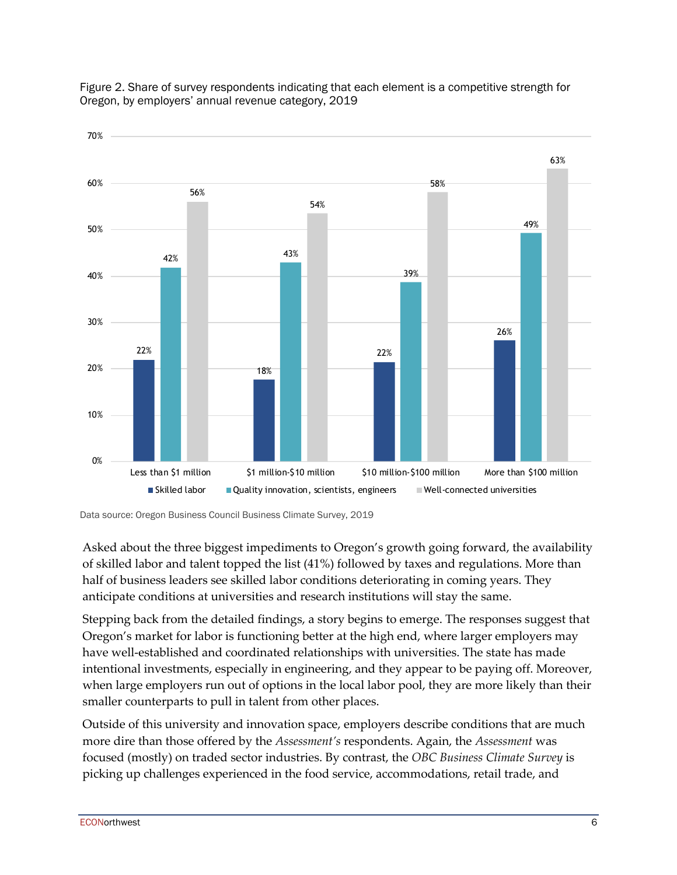

Figure 2. Share of survey respondents indicating that each element is a competitive strength for Oregon, by employers' annual revenue category, 2019

Asked about the three biggest impediments to Oregon's growth going forward, the availability of skilled labor and talent topped the list (41%) followed by taxes and regulations. More than half of business leaders see skilled labor conditions deteriorating in coming years. They anticipate conditions at universities and research institutions will stay the same.

Stepping back from the detailed findings, a story begins to emerge. The responses suggest that Oregon's market for labor is functioning better at the high end, where larger employers may have well-established and coordinated relationships with universities. The state has made intentional investments, especially in engineering, and they appear to be paying off. Moreover, when large employers run out of options in the local labor pool, they are more likely than their smaller counterparts to pull in talent from other places.

Outside of this university and innovation space, employers describe conditions that are much more dire than those offered by the *Assessment's* respondents. Again, the *Assessment* was focused (mostly) on traded sector industries. By contrast, the *OBC Business Climate Survey* is picking up challenges experienced in the food service, accommodations, retail trade, and

Data source: Oregon Business Council Business Climate Survey, 2019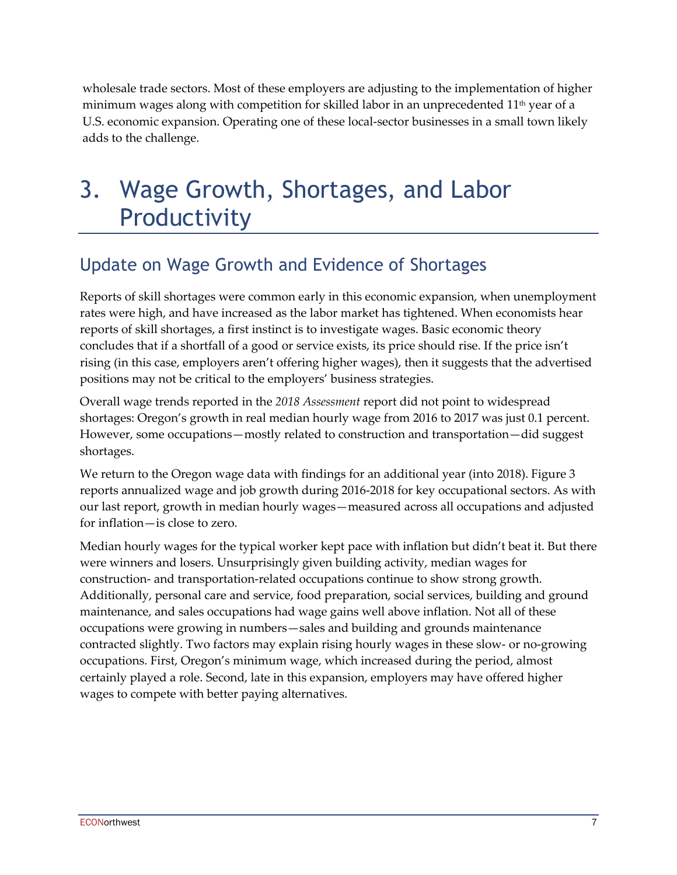wholesale trade sectors. Most of these employers are adjusting to the implementation of higher minimum wages along with competition for skilled labor in an unprecedented  $11<sup>th</sup>$  year of a U.S. economic expansion. Operating one of these local-sector businesses in a small town likely adds to the challenge.

### 3. Wage Growth, Shortages, and Labor Productivity

#### Update on Wage Growth and Evidence of Shortages

Reports of skill shortages were common early in this economic expansion, when unemployment rates were high, and have increased as the labor market has tightened. When economists hear reports of skill shortages, a first instinct is to investigate wages. Basic economic theory concludes that if a shortfall of a good or service exists, its price should rise. If the price isn't rising (in this case, employers aren't offering higher wages), then it suggests that the advertised positions may not be critical to the employers' business strategies.

Overall wage trends reported in the *2018 Assessment* report did not point to widespread shortages: Oregon's growth in real median hourly wage from 2016 to 2017 was just 0.1 percent. However, some occupations—mostly related to construction and transportation—did suggest shortages.

We return to the Oregon wage data with findings for an additional year (into 2018). Figure 3 reports annualized wage and job growth during 2016-2018 for key occupational sectors. As with our last report, growth in median hourly wages—measured across all occupations and adjusted for inflation—is close to zero.

Median hourly wages for the typical worker kept pace with inflation but didn't beat it. But there were winners and losers. Unsurprisingly given building activity, median wages for construction- and transportation-related occupations continue to show strong growth. Additionally, personal care and service, food preparation, social services, building and ground maintenance, and sales occupations had wage gains well above inflation. Not all of these occupations were growing in numbers—sales and building and grounds maintenance contracted slightly. Two factors may explain rising hourly wages in these slow- or no-growing occupations. First, Oregon's minimum wage, which increased during the period, almost certainly played a role. Second, late in this expansion, employers may have offered higher wages to compete with better paying alternatives.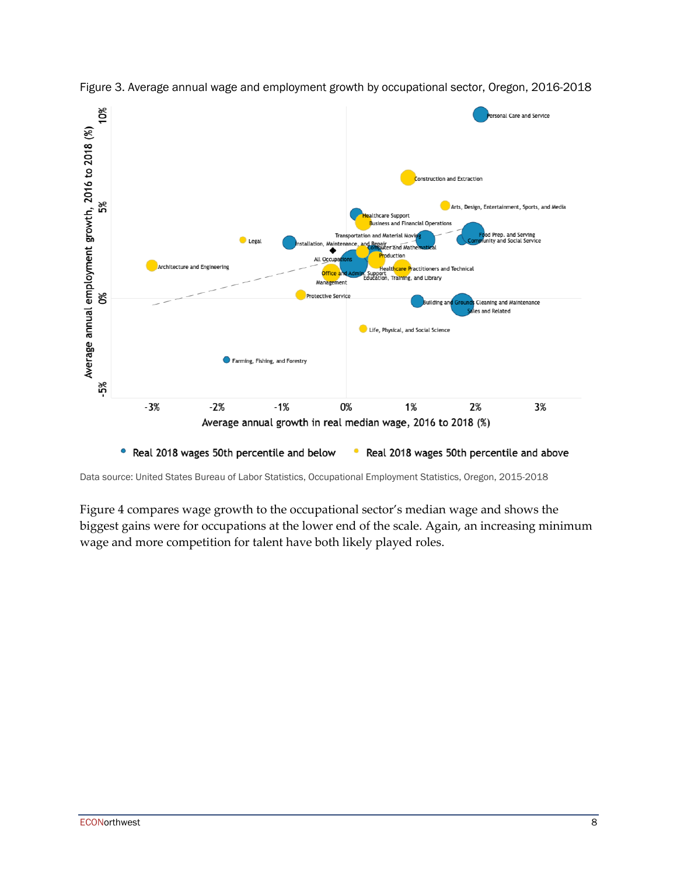

Figure 3. Average annual wage and employment growth by occupational sector, Oregon, 2016-2018

Data source: United States Bureau of Labor Statistics, Occupational Employment Statistics, Oregon, 2015-2018

Figure 4 compares wage growth to the occupational sector's median wage and shows the biggest gains were for occupations at the lower end of the scale. Again, an increasing minimum wage and more competition for talent have both likely played roles.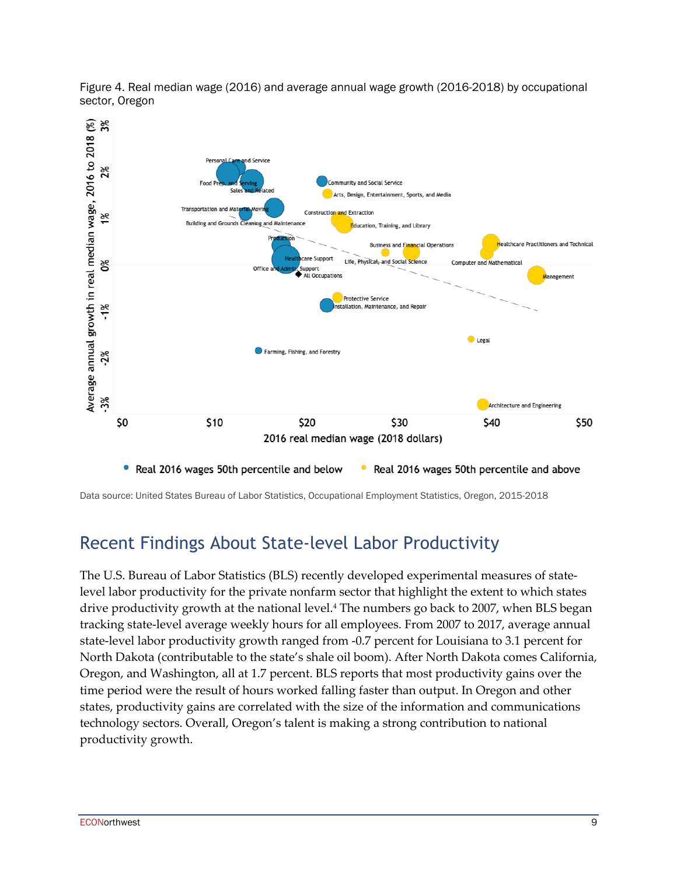

Figure 4. Real median wage (2016) and average annual wage growth (2016-2018) by occupational sector, Oregon

Data source: United States Bureau of Labor Statistics, Occupational Employment Statistics, Oregon, 2015-2018

#### Recent Findings About State-level Labor Productivity

The U.S. Bureau of Labor Statistics (BLS) recently developed experimental measures of statelevel labor productivity for the private nonfarm sector that highlight the extent to which states drive productivity growth at the national level.4 The numbers go back to 2007, when BLS began tracking state-level average weekly hours for all employees. From 2007 to 2017, average annual state-level labor productivity growth ranged from -0.7 percent for Louisiana to 3.1 percent for North Dakota (contributable to the state's shale oil boom). After North Dakota comes California, Oregon, and Washington, all at 1.7 percent. BLS reports that most productivity gains over the time period were the result of hours worked falling faster than output. In Oregon and other states, productivity gains are correlated with the size of the information and communications technology sectors. Overall, Oregon's talent is making a strong contribution to national productivity growth.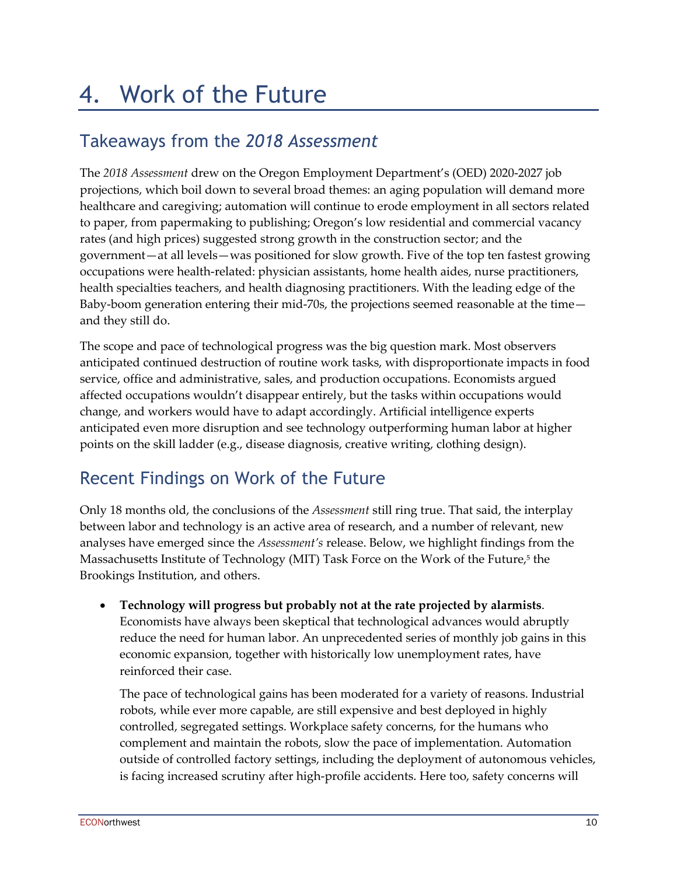# 4. Work of the Future

#### Takeaways from the *2018 Assessment*

The *2018 Assessment* drew on the Oregon Employment Department's (OED) 2020-2027 job projections, which boil down to several broad themes: an aging population will demand more healthcare and caregiving; automation will continue to erode employment in all sectors related to paper, from papermaking to publishing; Oregon's low residential and commercial vacancy rates (and high prices) suggested strong growth in the construction sector; and the government—at all levels—was positioned for slow growth. Five of the top ten fastest growing occupations were health-related: physician assistants, home health aides, nurse practitioners, health specialties teachers, and health diagnosing practitioners. With the leading edge of the Baby-boom generation entering their mid-70s, the projections seemed reasonable at the time and they still do.

The scope and pace of technological progress was the big question mark. Most observers anticipated continued destruction of routine work tasks, with disproportionate impacts in food service, office and administrative, sales, and production occupations. Economists argued affected occupations wouldn't disappear entirely, but the tasks within occupations would change, and workers would have to adapt accordingly. Artificial intelligence experts anticipated even more disruption and see technology outperforming human labor at higher points on the skill ladder (e.g., disease diagnosis, creative writing, clothing design).

#### Recent Findings on Work of the Future

Only 18 months old, the conclusions of the *Assessment* still ring true. That said, the interplay between labor and technology is an active area of research, and a number of relevant, new analyses have emerged since the *Assessment's* release. Below, we highlight findings from the Massachusetts Institute of Technology (MIT) Task Force on the Work of the Future, <sup>5</sup> the Brookings Institution, and others.

• **Technology will progress but probably not at the rate projected by alarmists**. Economists have always been skeptical that technological advances would abruptly reduce the need for human labor. An unprecedented series of monthly job gains in this economic expansion, together with historically low unemployment rates, have reinforced their case.

The pace of technological gains has been moderated for a variety of reasons. Industrial robots, while ever more capable, are still expensive and best deployed in highly controlled, segregated settings. Workplace safety concerns, for the humans who complement and maintain the robots, slow the pace of implementation. Automation outside of controlled factory settings, including the deployment of autonomous vehicles, is facing increased scrutiny after high-profile accidents. Here too, safety concerns will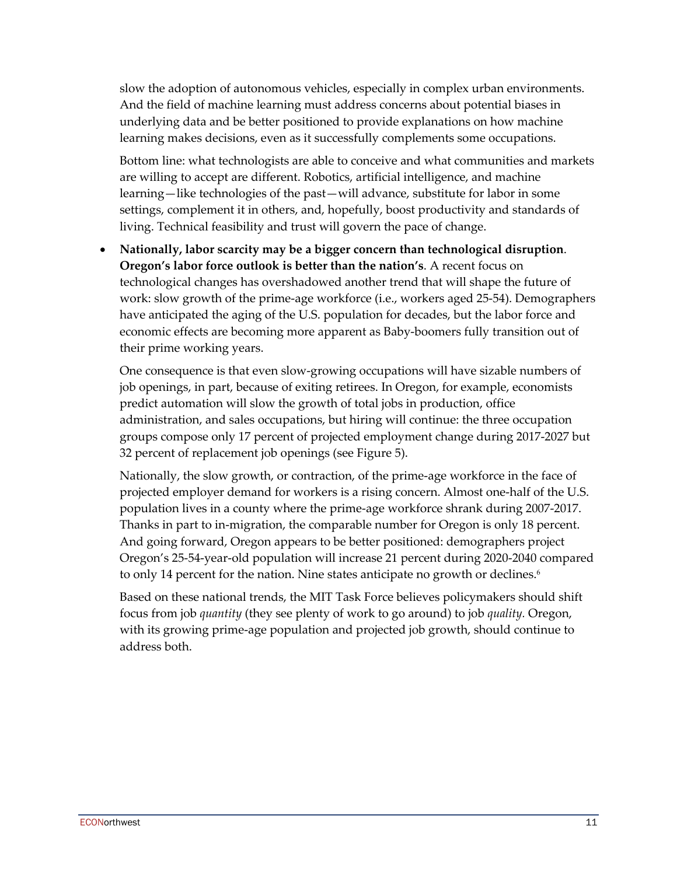slow the adoption of autonomous vehicles, especially in complex urban environments. And the field of machine learning must address concerns about potential biases in underlying data and be better positioned to provide explanations on how machine learning makes decisions, even as it successfully complements some occupations.

Bottom line: what technologists are able to conceive and what communities and markets are willing to accept are different. Robotics, artificial intelligence, and machine learning—like technologies of the past—will advance, substitute for labor in some settings, complement it in others, and, hopefully, boost productivity and standards of living. Technical feasibility and trust will govern the pace of change.

• **Nationally, labor scarcity may be a bigger concern than technological disruption**. **Oregon's labor force outlook is better than the nation's**. A recent focus on technological changes has overshadowed another trend that will shape the future of work: slow growth of the prime-age workforce (i.e., workers aged 25-54). Demographers have anticipated the aging of the U.S. population for decades, but the labor force and economic effects are becoming more apparent as Baby-boomers fully transition out of their prime working years.

One consequence is that even slow-growing occupations will have sizable numbers of job openings, in part, because of exiting retirees. In Oregon, for example, economists predict automation will slow the growth of total jobs in production, office administration, and sales occupations, but hiring will continue: the three occupation groups compose only 17 percent of projected employment change during 2017-2027 but 32 percent of replacement job openings (see Figure 5).

Nationally, the slow growth, or contraction, of the prime-age workforce in the face of projected employer demand for workers is a rising concern. Almost one-half of the U.S. population lives in a county where the prime-age workforce shrank during 2007-2017. Thanks in part to in-migration, the comparable number for Oregon is only 18 percent. And going forward, Oregon appears to be better positioned: demographers project Oregon's 25-54-year-old population will increase 21 percent during 2020-2040 compared to only 14 percent for the nation. Nine states anticipate no growth or declines.<sup>6</sup>

Based on these national trends, the MIT Task Force believes policymakers should shift focus from job *quantity* (they see plenty of work to go around) to job *quality.* Oregon, with its growing prime-age population and projected job growth, should continue to address both.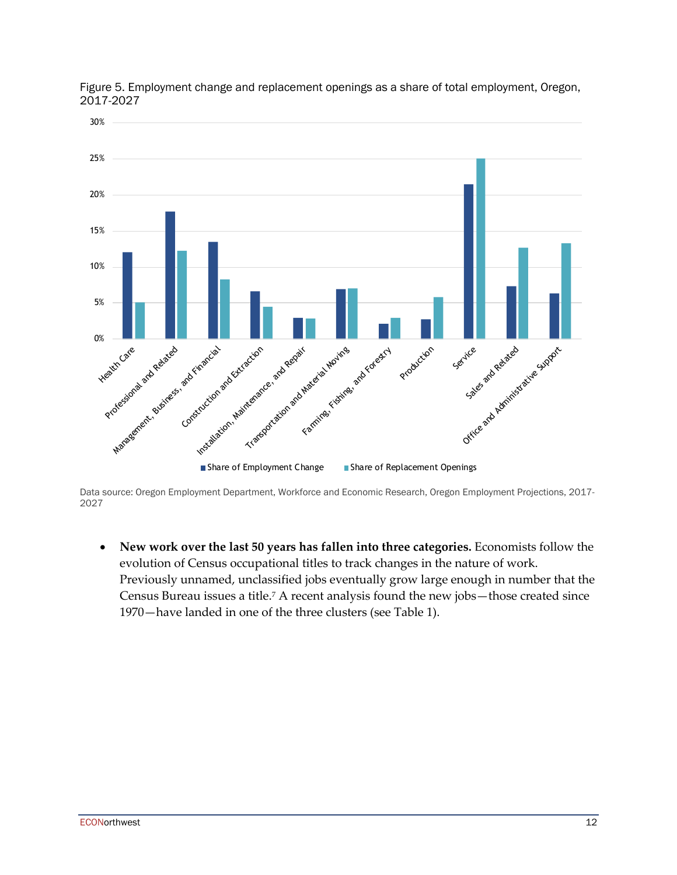

Figure 5. Employment change and replacement openings as a share of total employment, Oregon, 2017-2027

Data source: Oregon Employment Department, Workforce and Economic Research, Oregon Employment Projections, 2017- 2027

• **New work over the last 50 years has fallen into three categories.** Economists follow the evolution of Census occupational titles to track changes in the nature of work. Previously unnamed, unclassified jobs eventually grow large enough in number that the Census Bureau issues a title. <sup>7</sup> A recent analysis found the new jobs—those created since 1970—have landed in one of the three clusters (see Table 1).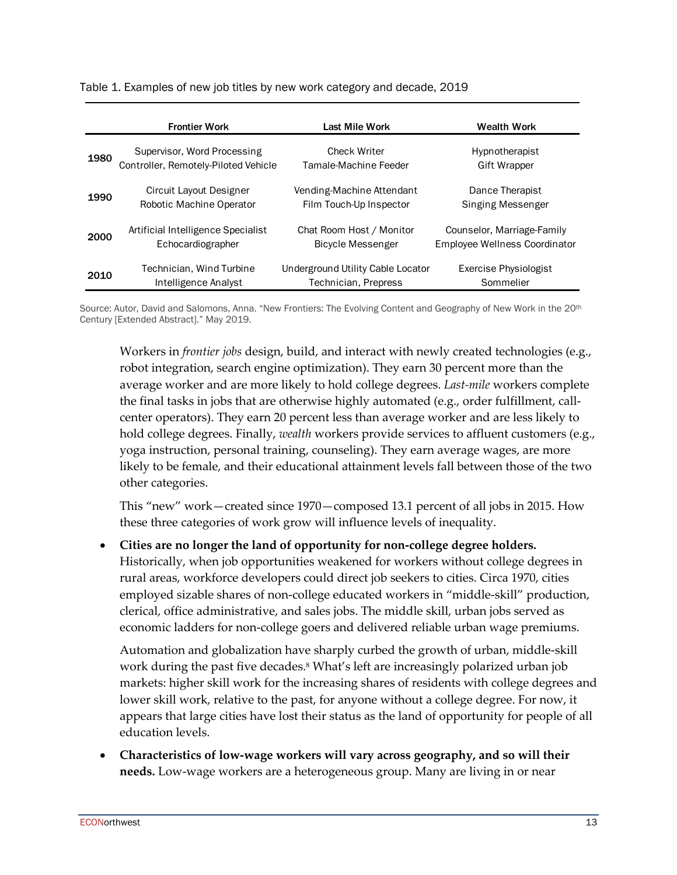|      | <b>Frontier Work</b>                 | Last Mile Work                    | Wealth Work                   |
|------|--------------------------------------|-----------------------------------|-------------------------------|
| 1980 | Supervisor, Word Processing          | <b>Check Writer</b>               | <b>Hypnotherapist</b>         |
|      | Controller, Remotely-Piloted Vehicle | Tamale-Machine Feeder             | Gift Wrapper                  |
| 1990 | Circuit Layout Designer              | Vending-Machine Attendant         | Dance Therapist               |
|      | Robotic Machine Operator             | Film Touch-Up Inspector           | Singing Messenger             |
| 2000 | Artificial Intelligence Specialist   | Chat Room Host / Monitor          | Counselor, Marriage-Family    |
|      | Echocardiographer                    | Bicycle Messenger                 | Employee Wellness Coordinator |
| 2010 | Technician, Wind Turbine             | Underground Utility Cable Locator | Exercise Physiologist         |
|      | Intelligence Analyst                 | Technician, Prepress              | Sommelier                     |

Table 1. Examples of new job titles by new work category and decade, 2019

Source: Autor, David and Salomons, Anna. "New Frontiers: The Evolving Content and Geography of New Work in the 20th Century [Extended Abstract]." May 2019.

Workers in *frontier jobs* design, build, and interact with newly created technologies (e.g., robot integration, search engine optimization). They earn 30 percent more than the average worker and are more likely to hold college degrees. *Last-mile* workers complete the final tasks in jobs that are otherwise highly automated (e.g., order fulfillment, callcenter operators). They earn 20 percent less than average worker and are less likely to hold college degrees. Finally, *wealth* workers provide services to affluent customers (e.g., yoga instruction, personal training, counseling). They earn average wages, are more likely to be female, and their educational attainment levels fall between those of the two other categories.

This "new" work—created since 1970—composed 13.1 percent of all jobs in 2015. How these three categories of work grow will influence levels of inequality.

• **Cities are no longer the land of opportunity for non-college degree holders.**

Historically, when job opportunities weakened for workers without college degrees in rural areas, workforce developers could direct job seekers to cities. Circa 1970, cities employed sizable shares of non-college educated workers in "middle-skill" production, clerical, office administrative, and sales jobs. The middle skill, urban jobs served as economic ladders for non-college goers and delivered reliable urban wage premiums.

Automation and globalization have sharply curbed the growth of urban, middle-skill work during the past five decades. <sup>8</sup> What's left are increasingly polarized urban job markets: higher skill work for the increasing shares of residents with college degrees and lower skill work, relative to the past, for anyone without a college degree. For now, it appears that large cities have lost their status as the land of opportunity for people of all education levels.

• **Characteristics of low-wage workers will vary across geography, and so will their needs.** Low-wage workers are a heterogeneous group. Many are living in or near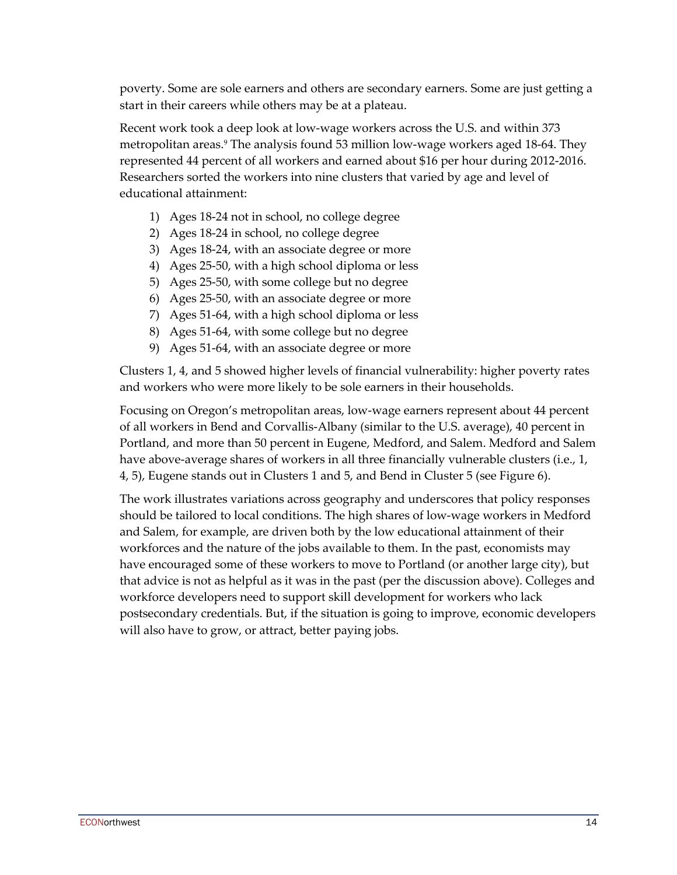poverty. Some are sole earners and others are secondary earners. Some are just getting a start in their careers while others may be at a plateau.

Recent work took a deep look at low-wage workers across the U.S. and within 373 metropolitan areas. <sup>9</sup> The analysis found 53 million low-wage workers aged 18-64. They represented 44 percent of all workers and earned about \$16 per hour during 2012-2016. Researchers sorted the workers into nine clusters that varied by age and level of educational attainment:

- 1) Ages 18-24 not in school, no college degree
- 2) Ages 18-24 in school, no college degree
- 3) Ages 18-24, with an associate degree or more
- 4) Ages 25-50, with a high school diploma or less
- 5) Ages 25-50, with some college but no degree
- 6) Ages 25-50, with an associate degree or more
- 7) Ages 51-64, with a high school diploma or less
- 8) Ages 51-64, with some college but no degree
- 9) Ages 51-64, with an associate degree or more

Clusters 1, 4, and 5 showed higher levels of financial vulnerability: higher poverty rates and workers who were more likely to be sole earners in their households.

Focusing on Oregon's metropolitan areas, low-wage earners represent about 44 percent of all workers in Bend and Corvallis-Albany (similar to the U.S. average), 40 percent in Portland, and more than 50 percent in Eugene, Medford, and Salem. Medford and Salem have above-average shares of workers in all three financially vulnerable clusters (i.e., 1, 4, 5), Eugene stands out in Clusters 1 and 5, and Bend in Cluster 5 (see Figure 6).

The work illustrates variations across geography and underscores that policy responses should be tailored to local conditions. The high shares of low-wage workers in Medford and Salem, for example, are driven both by the low educational attainment of their workforces and the nature of the jobs available to them. In the past, economists may have encouraged some of these workers to move to Portland (or another large city), but that advice is not as helpful as it was in the past (per the discussion above). Colleges and workforce developers need to support skill development for workers who lack postsecondary credentials. But, if the situation is going to improve, economic developers will also have to grow, or attract, better paying jobs.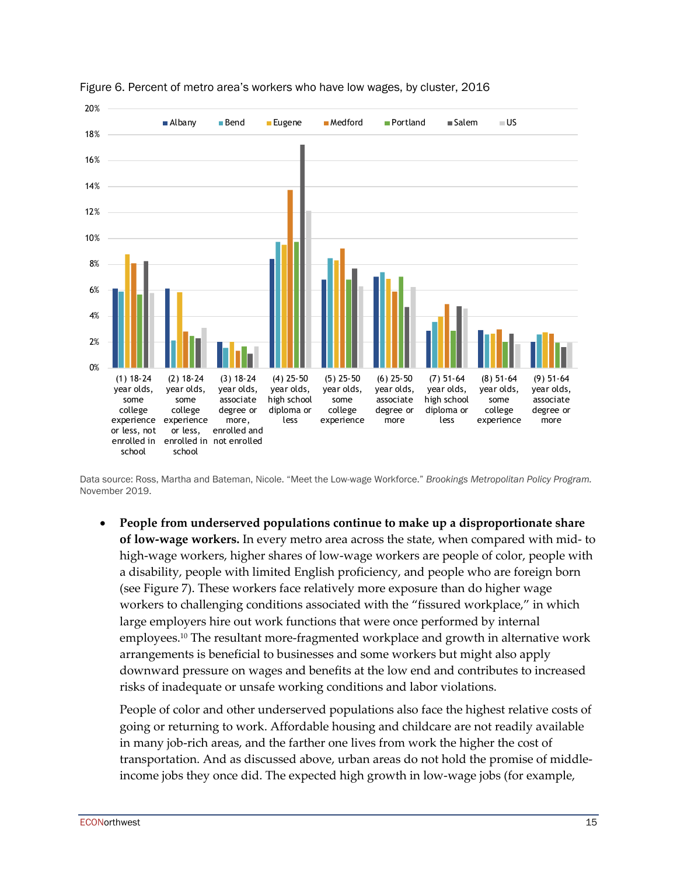

Figure 6. Percent of metro area's workers who have low wages, by cluster, 2016

Data source: Ross, Martha and Bateman, Nicole. "Meet the Low-wage Workforce." *Brookings Metropolitan Policy Program.* November 2019.

• **People from underserved populations continue to make up a disproportionate share of low-wage workers.** In every metro area across the state, when compared with mid- to high-wage workers, higher shares of low-wage workers are people of color, people with a disability, people with limited English proficiency, and people who are foreign born (see Figure 7). These workers face relatively more exposure than do higher wage workers to challenging conditions associated with the "fissured workplace," in which large employers hire out work functions that were once performed by internal employees.10 The resultant more-fragmented workplace and growth in alternative work arrangements is beneficial to businesses and some workers but might also apply downward pressure on wages and benefits at the low end and contributes to increased risks of inadequate or unsafe working conditions and labor violations.

People of color and other underserved populations also face the highest relative costs of going or returning to work. Affordable housing and childcare are not readily available in many job-rich areas, and the farther one lives from work the higher the cost of transportation. And as discussed above, urban areas do not hold the promise of middleincome jobs they once did. The expected high growth in low-wage jobs (for example,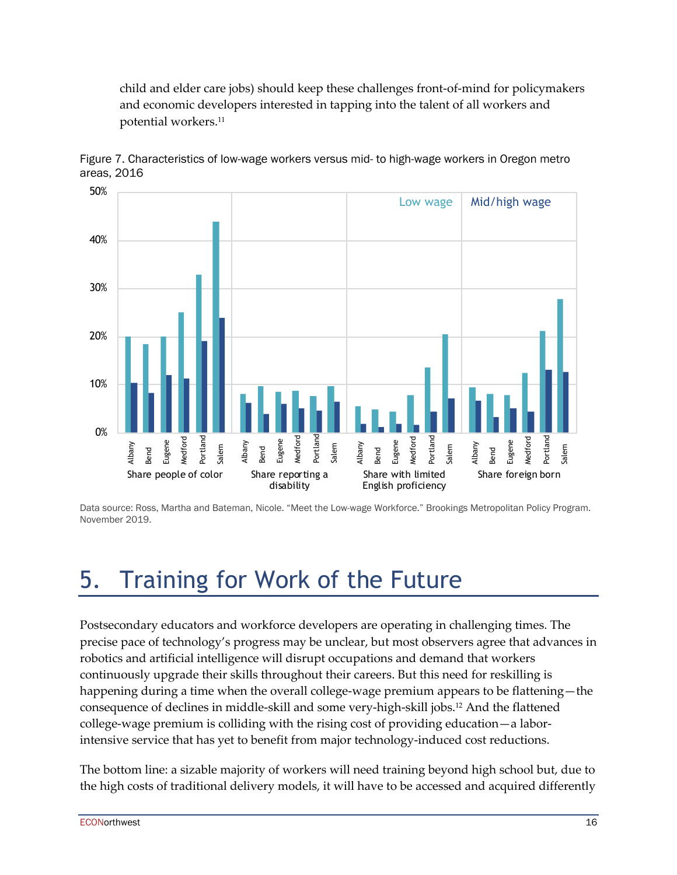child and elder care jobs) should keep these challenges front-of-mind for policymakers and economic developers interested in tapping into the talent of all workers and potential workers.11



Figure 7. Characteristics of low-wage workers versus mid- to high-wage workers in Oregon metro areas, 2016

Data source: Ross, Martha and Bateman, Nicole. "Meet the Low-wage Workforce." Brookings Metropolitan Policy Program. November 2019.

# 5. Training for Work of the Future

Postsecondary educators and workforce developers are operating in challenging times. The precise pace of technology's progress may be unclear, but most observers agree that advances in robotics and artificial intelligence will disrupt occupations and demand that workers continuously upgrade their skills throughout their careers. But this need for reskilling is happening during a time when the overall college-wage premium appears to be flattening—the consequence of declines in middle-skill and some very-high-skill jobs. <sup>12</sup> And the flattened college-wage premium is colliding with the rising cost of providing education—a laborintensive service that has yet to benefit from major technology-induced cost reductions.

The bottom line: a sizable majority of workers will need training beyond high school but, due to the high costs of traditional delivery models, it will have to be accessed and acquired differently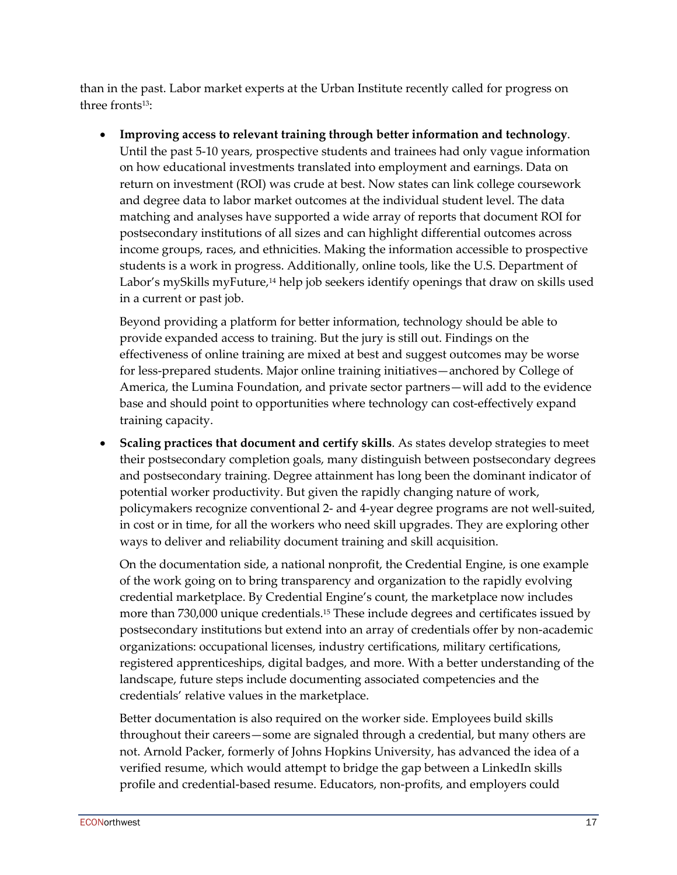than in the past. Labor market experts at the Urban Institute recently called for progress on three fronts<sup>13</sup>:

• **Improving access to relevant training through better information and technology**. Until the past 5-10 years, prospective students and trainees had only vague information on how educational investments translated into employment and earnings. Data on return on investment (ROI) was crude at best. Now states can link college coursework and degree data to labor market outcomes at the individual student level. The data matching and analyses have supported a wide array of reports that document ROI for postsecondary institutions of all sizes and can highlight differential outcomes across income groups, races, and ethnicities. Making the information accessible to prospective students is a work in progress. Additionally, online tools, like the U.S. Department of Labor's mySkills myFuture,<sup>14</sup> help job seekers identify openings that draw on skills used in a current or past job.

Beyond providing a platform for better information, technology should be able to provide expanded access to training. But the jury is still out. Findings on the effectiveness of online training are mixed at best and suggest outcomes may be worse for less-prepared students. Major online training initiatives—anchored by College of America, the Lumina Foundation, and private sector partners—will add to the evidence base and should point to opportunities where technology can cost-effectively expand training capacity.

• **Scaling practices that document and certify skills**. As states develop strategies to meet their postsecondary completion goals, many distinguish between postsecondary degrees and postsecondary training. Degree attainment has long been the dominant indicator of potential worker productivity. But given the rapidly changing nature of work, policymakers recognize conventional 2- and 4-year degree programs are not well-suited, in cost or in time, for all the workers who need skill upgrades. They are exploring other ways to deliver and reliability document training and skill acquisition.

On the documentation side, a national nonprofit, the Credential Engine, is one example of the work going on to bring transparency and organization to the rapidly evolving credential marketplace. By Credential Engine's count, the marketplace now includes more than 730,000 unique credentials. <sup>15</sup> These include degrees and certificates issued by postsecondary institutions but extend into an array of credentials offer by non-academic organizations: occupational licenses, industry certifications, military certifications, registered apprenticeships, digital badges, and more. With a better understanding of the landscape, future steps include documenting associated competencies and the credentials' relative values in the marketplace.

Better documentation is also required on the worker side. Employees build skills throughout their careers—some are signaled through a credential, but many others are not. Arnold Packer, formerly of Johns Hopkins University, has advanced the idea of a verified resume, which would attempt to bridge the gap between a LinkedIn skills profile and credential-based resume. Educators, non-profits, and employers could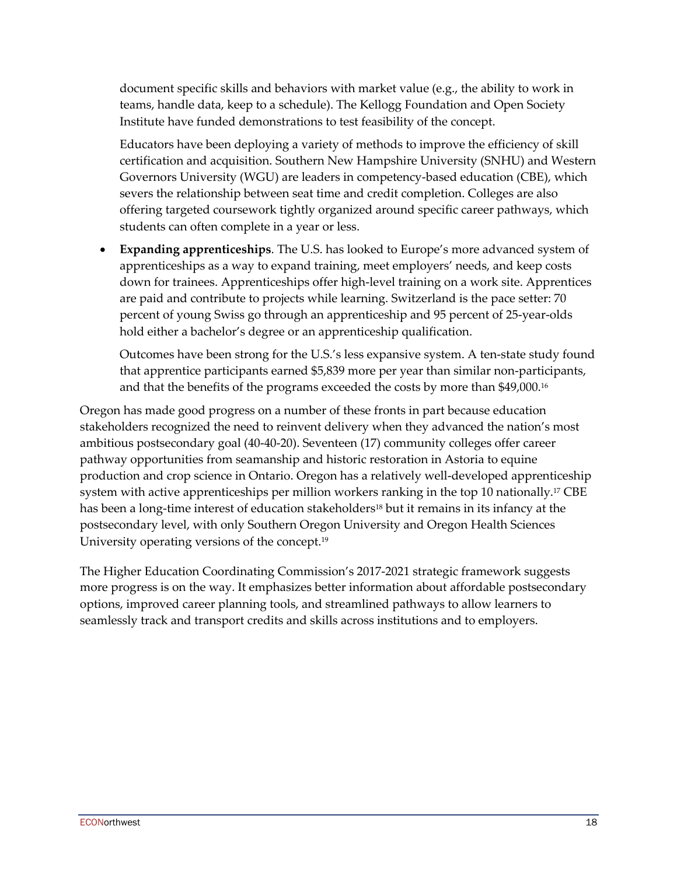document specific skills and behaviors with market value (e.g., the ability to work in teams, handle data, keep to a schedule). The Kellogg Foundation and Open Society Institute have funded demonstrations to test feasibility of the concept.

Educators have been deploying a variety of methods to improve the efficiency of skill certification and acquisition. Southern New Hampshire University (SNHU) and Western Governors University (WGU) are leaders in competency-based education (CBE), which severs the relationship between seat time and credit completion. Colleges are also offering targeted coursework tightly organized around specific career pathways, which students can often complete in a year or less.

• **Expanding apprenticeships**. The U.S. has looked to Europe's more advanced system of apprenticeships as a way to expand training, meet employers' needs, and keep costs down for trainees. Apprenticeships offer high-level training on a work site. Apprentices are paid and contribute to projects while learning. Switzerland is the pace setter: 70 percent of young Swiss go through an apprenticeship and 95 percent of 25-year-olds hold either a bachelor's degree or an apprenticeship qualification.

Outcomes have been strong for the U.S.'s less expansive system. A ten-state study found that apprentice participants earned \$5,839 more per year than similar non-participants, and that the benefits of the programs exceeded the costs by more than \$49,000. 16

Oregon has made good progress on a number of these fronts in part because education stakeholders recognized the need to reinvent delivery when they advanced the nation's most ambitious postsecondary goal (40-40-20). Seventeen (17) community colleges offer career pathway opportunities from seamanship and historic restoration in Astoria to equine production and crop science in Ontario. Oregon has a relatively well-developed apprenticeship system with active apprenticeships per million workers ranking in the top 10 nationally. <sup>17</sup> CBE has been a long-time interest of education stakeholders<sup>18</sup> but it remains in its infancy at the postsecondary level, with only Southern Oregon University and Oregon Health Sciences University operating versions of the concept. 19

The Higher Education Coordinating Commission's 2017-2021 strategic framework suggests more progress is on the way. It emphasizes better information about affordable postsecondary options, improved career planning tools, and streamlined pathways to allow learners to seamlessly track and transport credits and skills across institutions and to employers.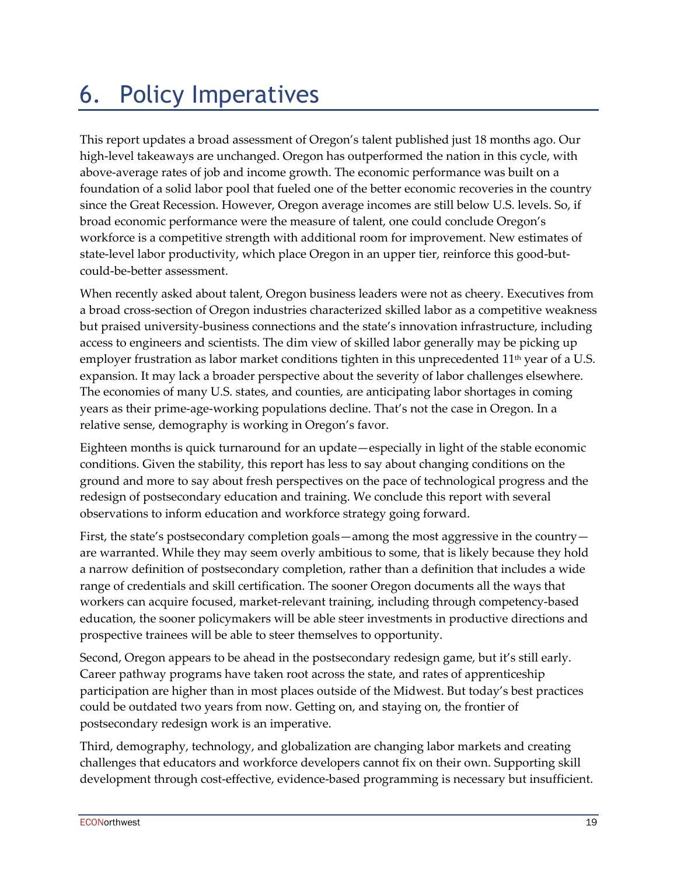# 6. Policy Imperatives

This report updates a broad assessment of Oregon's talent published just 18 months ago. Our high-level takeaways are unchanged. Oregon has outperformed the nation in this cycle, with above-average rates of job and income growth. The economic performance was built on a foundation of a solid labor pool that fueled one of the better economic recoveries in the country since the Great Recession. However, Oregon average incomes are still below U.S. levels. So, if broad economic performance were the measure of talent, one could conclude Oregon's workforce is a competitive strength with additional room for improvement. New estimates of state-level labor productivity, which place Oregon in an upper tier, reinforce this good-butcould-be-better assessment.

When recently asked about talent, Oregon business leaders were not as cheery. Executives from a broad cross-section of Oregon industries characterized skilled labor as a competitive weakness but praised university-business connections and the state's innovation infrastructure, including access to engineers and scientists. The dim view of skilled labor generally may be picking up employer frustration as labor market conditions tighten in this unprecedented  $11<sup>th</sup>$  year of a U.S. expansion. It may lack a broader perspective about the severity of labor challenges elsewhere. The economies of many U.S. states, and counties, are anticipating labor shortages in coming years as their prime-age-working populations decline. That's not the case in Oregon. In a relative sense, demography is working in Oregon's favor.

Eighteen months is quick turnaround for an update—especially in light of the stable economic conditions. Given the stability, this report has less to say about changing conditions on the ground and more to say about fresh perspectives on the pace of technological progress and the redesign of postsecondary education and training. We conclude this report with several observations to inform education and workforce strategy going forward.

First, the state's postsecondary completion goals—among the most aggressive in the country are warranted. While they may seem overly ambitious to some, that is likely because they hold a narrow definition of postsecondary completion, rather than a definition that includes a wide range of credentials and skill certification. The sooner Oregon documents all the ways that workers can acquire focused, market-relevant training, including through competency-based education, the sooner policymakers will be able steer investments in productive directions and prospective trainees will be able to steer themselves to opportunity.

Second, Oregon appears to be ahead in the postsecondary redesign game, but it's still early. Career pathway programs have taken root across the state, and rates of apprenticeship participation are higher than in most places outside of the Midwest. But today's best practices could be outdated two years from now. Getting on, and staying on, the frontier of postsecondary redesign work is an imperative.

Third, demography, technology, and globalization are changing labor markets and creating challenges that educators and workforce developers cannot fix on their own. Supporting skill development through cost-effective, evidence-based programming is necessary but insufficient.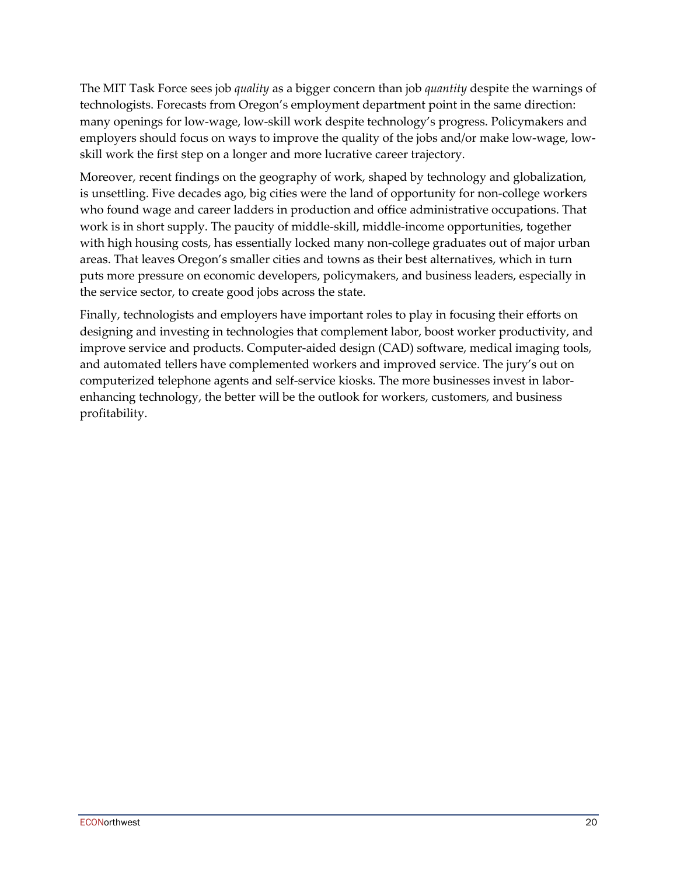The MIT Task Force sees job *quality* as a bigger concern than job *quantity* despite the warnings of technologists. Forecasts from Oregon's employment department point in the same direction: many openings for low-wage, low-skill work despite technology's progress. Policymakers and employers should focus on ways to improve the quality of the jobs and/or make low-wage, lowskill work the first step on a longer and more lucrative career trajectory.

Moreover, recent findings on the geography of work, shaped by technology and globalization, is unsettling. Five decades ago, big cities were the land of opportunity for non-college workers who found wage and career ladders in production and office administrative occupations. That work is in short supply. The paucity of middle-skill, middle-income opportunities, together with high housing costs, has essentially locked many non-college graduates out of major urban areas. That leaves Oregon's smaller cities and towns as their best alternatives, which in turn puts more pressure on economic developers, policymakers, and business leaders, especially in the service sector, to create good jobs across the state.

Finally, technologists and employers have important roles to play in focusing their efforts on designing and investing in technologies that complement labor, boost worker productivity, and improve service and products. Computer-aided design (CAD) software, medical imaging tools, and automated tellers have complemented workers and improved service. The jury's out on computerized telephone agents and self-service kiosks. The more businesses invest in laborenhancing technology, the better will be the outlook for workers, customers, and business profitability.